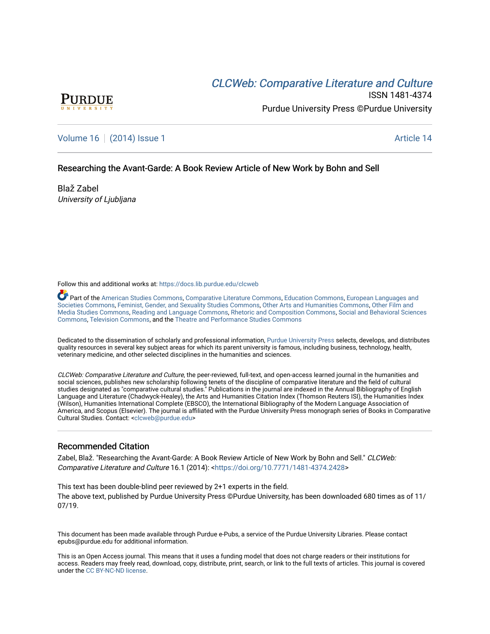# CLCW[eb: Comparative Liter](https://docs.lib.purdue.edu/clcweb)ature and Culture



ISSN 1481-4374 Purdue University Press ©Purdue University

[Volume 16](https://docs.lib.purdue.edu/clcweb/vol16) | [\(2014\) Issue 1](https://docs.lib.purdue.edu/clcweb/vol16/iss1) Article 14

# Researching the Avant-Garde: A Book Review Article of New Work by Bohn and Sell

Blaž Zabel University of Ljubljana

Follow this and additional works at: [https://docs.lib.purdue.edu/clcweb](https://docs.lib.purdue.edu/clcweb?utm_source=docs.lib.purdue.edu%2Fclcweb%2Fvol16%2Fiss1%2F14&utm_medium=PDF&utm_campaign=PDFCoverPages)

Part of the [American Studies Commons](http://network.bepress.com/hgg/discipline/439?utm_source=docs.lib.purdue.edu%2Fclcweb%2Fvol16%2Fiss1%2F14&utm_medium=PDF&utm_campaign=PDFCoverPages), [Comparative Literature Commons,](http://network.bepress.com/hgg/discipline/454?utm_source=docs.lib.purdue.edu%2Fclcweb%2Fvol16%2Fiss1%2F14&utm_medium=PDF&utm_campaign=PDFCoverPages) [Education Commons,](http://network.bepress.com/hgg/discipline/784?utm_source=docs.lib.purdue.edu%2Fclcweb%2Fvol16%2Fiss1%2F14&utm_medium=PDF&utm_campaign=PDFCoverPages) [European Languages and](http://network.bepress.com/hgg/discipline/482?utm_source=docs.lib.purdue.edu%2Fclcweb%2Fvol16%2Fiss1%2F14&utm_medium=PDF&utm_campaign=PDFCoverPages) [Societies Commons](http://network.bepress.com/hgg/discipline/482?utm_source=docs.lib.purdue.edu%2Fclcweb%2Fvol16%2Fiss1%2F14&utm_medium=PDF&utm_campaign=PDFCoverPages), [Feminist, Gender, and Sexuality Studies Commons,](http://network.bepress.com/hgg/discipline/559?utm_source=docs.lib.purdue.edu%2Fclcweb%2Fvol16%2Fiss1%2F14&utm_medium=PDF&utm_campaign=PDFCoverPages) [Other Arts and Humanities Commons](http://network.bepress.com/hgg/discipline/577?utm_source=docs.lib.purdue.edu%2Fclcweb%2Fvol16%2Fiss1%2F14&utm_medium=PDF&utm_campaign=PDFCoverPages), [Other Film and](http://network.bepress.com/hgg/discipline/565?utm_source=docs.lib.purdue.edu%2Fclcweb%2Fvol16%2Fiss1%2F14&utm_medium=PDF&utm_campaign=PDFCoverPages)  [Media Studies Commons](http://network.bepress.com/hgg/discipline/565?utm_source=docs.lib.purdue.edu%2Fclcweb%2Fvol16%2Fiss1%2F14&utm_medium=PDF&utm_campaign=PDFCoverPages), [Reading and Language Commons](http://network.bepress.com/hgg/discipline/1037?utm_source=docs.lib.purdue.edu%2Fclcweb%2Fvol16%2Fiss1%2F14&utm_medium=PDF&utm_campaign=PDFCoverPages), [Rhetoric and Composition Commons,](http://network.bepress.com/hgg/discipline/573?utm_source=docs.lib.purdue.edu%2Fclcweb%2Fvol16%2Fiss1%2F14&utm_medium=PDF&utm_campaign=PDFCoverPages) [Social and Behavioral Sciences](http://network.bepress.com/hgg/discipline/316?utm_source=docs.lib.purdue.edu%2Fclcweb%2Fvol16%2Fiss1%2F14&utm_medium=PDF&utm_campaign=PDFCoverPages) [Commons,](http://network.bepress.com/hgg/discipline/316?utm_source=docs.lib.purdue.edu%2Fclcweb%2Fvol16%2Fiss1%2F14&utm_medium=PDF&utm_campaign=PDFCoverPages) [Television Commons,](http://network.bepress.com/hgg/discipline/1143?utm_source=docs.lib.purdue.edu%2Fclcweb%2Fvol16%2Fiss1%2F14&utm_medium=PDF&utm_campaign=PDFCoverPages) and the [Theatre and Performance Studies Commons](http://network.bepress.com/hgg/discipline/552?utm_source=docs.lib.purdue.edu%2Fclcweb%2Fvol16%2Fiss1%2F14&utm_medium=PDF&utm_campaign=PDFCoverPages)

Dedicated to the dissemination of scholarly and professional information, [Purdue University Press](http://www.thepress.purdue.edu/) selects, develops, and distributes quality resources in several key subject areas for which its parent university is famous, including business, technology, health, veterinary medicine, and other selected disciplines in the humanities and sciences.

CLCWeb: Comparative Literature and Culture, the peer-reviewed, full-text, and open-access learned journal in the humanities and social sciences, publishes new scholarship following tenets of the discipline of comparative literature and the field of cultural studies designated as "comparative cultural studies." Publications in the journal are indexed in the Annual Bibliography of English Language and Literature (Chadwyck-Healey), the Arts and Humanities Citation Index (Thomson Reuters ISI), the Humanities Index (Wilson), Humanities International Complete (EBSCO), the International Bibliography of the Modern Language Association of America, and Scopus (Elsevier). The journal is affiliated with the Purdue University Press monograph series of Books in Comparative Cultural Studies. Contact: [<clcweb@purdue.edu](mailto:clcweb@purdue.edu)>

# Recommended Citation

Zabel, Blaž. "Researching the Avant-Garde: A Book Review Article of New Work by Bohn and Sell." CLCWeb: Comparative Literature and Culture 16.1 (2014): <<https://doi.org/10.7771/1481-4374.2428>>

This text has been double-blind peer reviewed by 2+1 experts in the field. The above text, published by Purdue University Press ©Purdue University, has been downloaded 680 times as of 11/ 07/19.

This document has been made available through Purdue e-Pubs, a service of the Purdue University Libraries. Please contact epubs@purdue.edu for additional information.

This is an Open Access journal. This means that it uses a funding model that does not charge readers or their institutions for access. Readers may freely read, download, copy, distribute, print, search, or link to the full texts of articles. This journal is covered under the [CC BY-NC-ND license.](https://creativecommons.org/licenses/by-nc-nd/4.0/)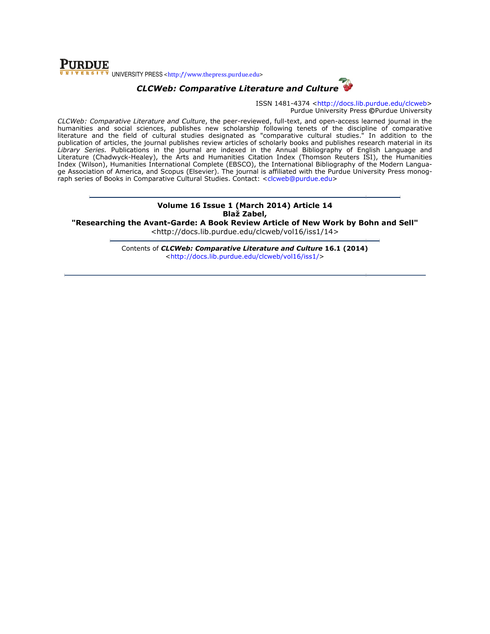# **PURDUE** UNIVERSITY PRESS <http://www.thepress.purdue.edu>



ISSN 1481-4374 <http://docs.lib.purdue.edu/clcweb> Purdue University Press ©Purdue University

CLCWeb: Comparative Literature and Culture, the peer-reviewed, full-text, and open-access learned journal in the humanities and social sciences, publishes new scholarship following tenets of the discipline of comparative literature and the field of cultural studies designated as publication of articles, the journal publishes review ar Library Series. Publications in the journal are indexed in the Annual Bibliography of English Language and Literature (Chadwyck-Healey), the Arts and Humanities Citation Index (Thomson Reuters ISI), the Humanities Index (Wilson), Humanities International Complete (EBSCO), the International Bibliography of the Modern Langua Literature (Chadwyck-Healey), the Arts and Humanities Citation Index (Thomson Reuters ISI), the Humanities<br>Index (Wilson), Humanities International Complete (EBSCO), the International Bibliography of the Modern Langua-<br>ge raph series of Books in Comparative Cultural Studies. Contact: <clcweb@purdue.edu> ; and social sciences, publishes new scholarship following tenets of the discipline of comparative<br>and the field of cultural studies designated as "comparative cultural studies." In addition to the publishes review articles of scholarly books and publishes research material in its access learned journal in the<br>ie discipline of comparative<br>studies." In addition to the ticles of scholarly books and publishes research material in its<br>exed in the Annual Bibliography of English Language and<br>ities Citation Index (Thomson Reuters ISI), the Humanities<br>EBSCO), the International Bibliography of

### Volume 16 16 Issue 1 (March 2014) Article 14 Blaž Zabel,

"Researching the Avant-Garde: A Book Review Article of New Work by Bohn and Sell" <http://docs.li <http://docs.lib.purdue.edu/clcweb/vol16/iss1/14>

> Contents of *CLCWeb: Comparative Literature and Culture* 16.1 (2014) <http://docs.lib.purdue.edu/clcweb/vol16/iss1/ http://docs.lib.purdue.edu/clcweb/vol16/iss1/>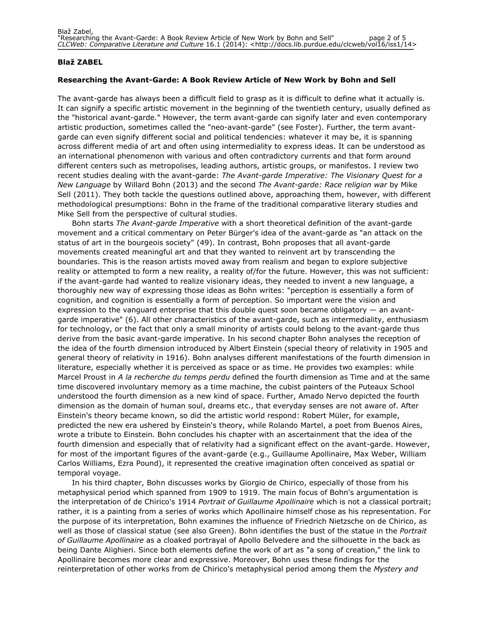#### Blaž ZABEL

#### Researching the Avant-Garde: A Book Review Article of New Work by Bohn and Sell

The avant-garde has always been a difficult field to grasp as it is difficult to define what it actually is. It can signify a specific artistic movement in the beginning of the twentieth century, usually defined as the "historical avant-garde." However, the term avant-garde can signify later and even contemporary artistic production, sometimes called the "neo-avant-garde" (see Foster). Further, the term avantgarde can even signify different social and political tendencies: whatever it may be, it is spanning across different media of art and often using intermediality to express ideas. It can be understood as an international phenomenon with various and often contradictory currents and that form around different centers such as metropolises, leading authors, artistic groups, or manifestos. I review two recent studies dealing with the avant-garde: The Avant-garde Imperative: The Visionary Quest for a New Language by Willard Bohn (2013) and the second The Avant-garde: Race religion war by Mike Sell (2011). They both tackle the questions outlined above, approaching them, however, with different methodological presumptions: Bohn in the frame of the traditional comparative literary studies and Mike Sell from the perspective of cultural studies.

Bohn starts The Avant-garde Imperative with a short theoretical definition of the avant-garde movement and a critical commentary on Peter Bürger's idea of the avant-garde as "an attack on the status of art in the bourgeois society" (49). In contrast, Bohn proposes that all avant-garde movements created meaningful art and that they wanted to reinvent art by transcending the boundaries. This is the reason artists moved away from realism and began to explore subjective reality or attempted to form a new reality, a reality of/for the future. However, this was not sufficient: if the avant-garde had wanted to realize visionary ideas, they needed to invent a new language, a thoroughly new way of expressing those ideas as Bohn writes: "perception is essentially a form of cognition, and cognition is essentially a form of perception. So important were the vision and expression to the vanguard enterprise that this double quest soon became obligatory — an avantgarde imperative" (6). All other characteristics of the avant-garde, such as intermediality, enthusiasm for technology, or the fact that only a small minority of artists could belong to the avant-garde thus derive from the basic avant-garde imperative. In his second chapter Bohn analyses the reception of the idea of the fourth dimension introduced by Albert Einstein (special theory of relativity in 1905 and general theory of relativity in 1916). Bohn analyses different manifestations of the fourth dimension in literature, especially whether it is perceived as space or as time. He provides two examples: while Marcel Proust in A la recherche du temps perdu defined the fourth dimension as Time and at the same time discovered involuntary memory as a time machine, the cubist painters of the Puteaux School understood the fourth dimension as a new kind of space. Further, Amado Nervo depicted the fourth dimension as the domain of human soul, dreams etc., that everyday senses are not aware of. After Einstein's theory became known, so did the artistic world respond: Robert Müler, for example, predicted the new era ushered by Einstein's theory, while Rolando Martel, a poet from Buenos Aires, wrote a tribute to Einstein. Bohn concludes his chapter with an ascertainment that the idea of the fourth dimension and especially that of relativity had a significant effect on the avant-garde. However, for most of the important figures of the avant-garde (e.g., Guillaume Apollinaire, Max Weber, William Carlos Williams, Ezra Pound), it represented the creative imagination often conceived as spatial or temporal voyage.

In his third chapter, Bohn discusses works by Giorgio de Chirico, especially of those from his metaphysical period which spanned from 1909 to 1919. The main focus of Bohn's argumentation is the interpretation of de Chirico's 1914 Portrait of Guillaume Apollinaire which is not a classical portrait; rather, it is a painting from a series of works which Apollinaire himself chose as his representation. For the purpose of its interpretation, Bohn examines the influence of Friedrich Nietzsche on de Chirico, as well as those of classical statue (see also Green). Bohn identifies the bust of the statue in the Portrait of Guillaume Apollinaire as a cloaked portrayal of Apollo Belvedere and the silhouette in the back as being Dante Alighieri. Since both elements define the work of art as "a song of creation," the link to Apollinaire becomes more clear and expressive. Moreover, Bohn uses these findings for the reinterpretation of other works from de Chirico's metaphysical period among them the Mystery and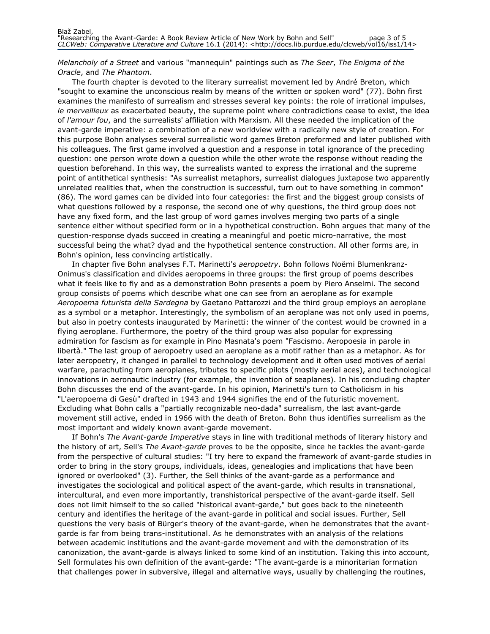Melancholy of a Street and various "mannequin" paintings such as The Seer, The Enigma of the Oracle, and The Phantom.

The fourth chapter is devoted to the literary surrealist movement led by André Breton, which "sought to examine the unconscious realm by means of the written or spoken word" (77). Bohn first examines the manifesto of surrealism and stresses several key points: the role of irrational impulses, le merveilleux as exacerbated beauty, the supreme point where contradictions cease to exist, the idea of l'amour fou, and the surrealists' affiliation with Marxism. All these needed the implication of the avant-garde imperative: a combination of a new worldview with a radically new style of creation. For this purpose Bohn analyses several surrealistic word games Breton preformed and later published with his colleagues. The first game involved a question and a response in total ignorance of the preceding question: one person wrote down a question while the other wrote the response without reading the question beforehand. In this way, the surrealists wanted to express the irrational and the supreme point of antithetical synthesis: "As surrealist metaphors, surrealist dialogues juxtapose two apparently unrelated realities that, when the construction is successful, turn out to have something in common" (86). The word games can be divided into four categories: the first and the biggest group consists of what questions followed by a response, the second one of why questions, the third group does not have any fixed form, and the last group of word games involves merging two parts of a single sentence either without specified form or in a hypothetical construction. Bohn argues that many of the question-response dyads succeed in creating a meaningful and poetic micro-narrative, the most successful being the what? dyad and the hypothetical sentence construction. All other forms are, in Bohn's opinion, less convincing artistically.

In chapter five Bohn analyses F.T. Marinetti's aeropoetry. Bohn follows Noëmi Blumenkranz-Onimus's classification and divides aeropoems in three groups: the first group of poems describes what it feels like to fly and as a demonstration Bohn presents a poem by Piero Anselmi. The second group consists of poems which describe what one can see from an aeroplane as for example Aeropoema futurista della Sardegna by Gaetano Pattarozzi and the third group employs an aeroplane as a symbol or a metaphor. Interestingly, the symbolism of an aeroplane was not only used in poems, but also in poetry contests inaugurated by Marinetti: the winner of the contest would be crowned in a flying aeroplane. Furthermore, the poetry of the third group was also popular for expressing admiration for fascism as for example in Pino Masnata's poem "Fascismo. Aeropoesia in parole in libertà." The last group of aeropoetry used an aeroplane as a motif rather than as a metaphor. As for later aeropoetry, it changed in parallel to technology development and it often used motives of aerial warfare, parachuting from aeroplanes, tributes to specific pilots (mostly aerial aces), and technological innovations in aeronautic industry (for example, the invention of seaplanes). In his concluding chapter Bohn discusses the end of the avant-garde. In his opinion, Marinetti's turn to Catholicism in his "L'aeropoema di Gesù" drafted in 1943 and 1944 signifies the end of the futuristic movement. Excluding what Bohn calls a "partially recognizable neo-dada" surrealism, the last avant-garde movement still active, ended in 1966 with the death of Breton. Bohn thus identifies surrealism as the most important and widely known avant-garde movement.

If Bohn's The Avant-garde Imperative stays in line with traditional methods of literary history and the history of art, Sell's The Avant-garde proves to be the opposite, since he tackles the avant-garde from the perspective of cultural studies: "I try here to expand the framework of avant-garde studies in order to bring in the story groups, individuals, ideas, genealogies and implications that have been ignored or overlooked" (3). Further, the Sell thinks of the avant-garde as a performance and investigates the sociological and political aspect of the avant-garde, which results in transnational, intercultural, and even more importantly, transhistorical perspective of the avant-garde itself. Sell does not limit himself to the so called "historical avant-garde," but goes back to the nineteenth century and identifies the heritage of the avant-garde in political and social issues. Further, Sell questions the very basis of Bürger's theory of the avant-garde, when he demonstrates that the avantgarde is far from being trans-institutional. As he demonstrates with an analysis of the relations between academic institutions and the avant-garde movement and with the demonstration of its canonization, the avant-garde is always linked to some kind of an institution. Taking this into account, Sell formulates his own definition of the avant-garde: "The avant-garde is a minoritarian formation that challenges power in subversive, illegal and alternative ways, usually by challenging the routines,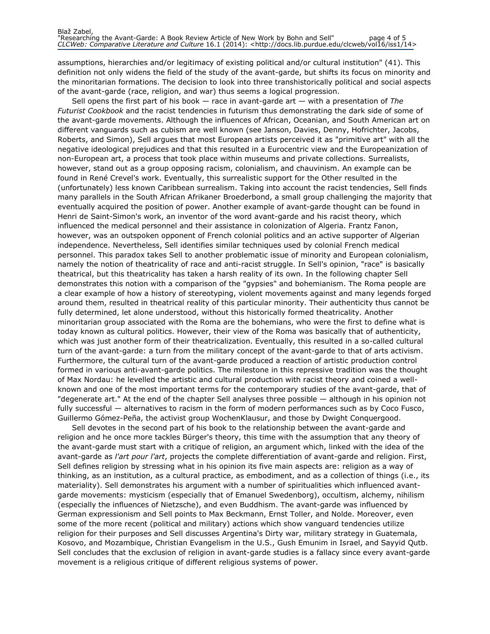assumptions, hierarchies and/or legitimacy of existing political and/or cultural institution" (41). This definition not only widens the field of the study of the avant-garde, but shifts its focus on minority and the minoritarian formations. The decision to look into three transhistorically political and social aspects of the avant-garde (race, religion, and war) thus seems a logical progression.

Sell opens the first part of his book  $-$  race in avant-garde art  $-$  with a presentation of The Futurist Cookbook and the racist tendencies in futurism thus demonstrating the dark side of some of the avant-garde movements. Although the influences of African, Oceanian, and South American art on different vanguards such as cubism are well known (see Janson, Davies, Denny, Hofrichter, Jacobs, Roberts, and Simon), Sell argues that most European artists perceived it as "primitive art" with all the negative ideological prejudices and that this resulted in a Eurocentric view and the Europeanization of non-European art, a process that took place within museums and private collections. Surrealists, however, stand out as a group opposing racism, colonialism, and chauvinism. An example can be found in René Crevel's work. Eventually, this surrealistic support for the Other resulted in the (unfortunately) less known Caribbean surrealism. Taking into account the racist tendencies, Sell finds many parallels in the South African Afrikaner Broederbond, a small group challenging the majority that eventually acquired the position of power. Another example of avant-garde thought can be found in Henri de Saint-Simon's work, an inventor of the word avant-garde and his racist theory, which influenced the medical personnel and their assistance in colonization of Algeria. Frantz Fanon, however, was an outspoken opponent of French colonial politics and an active supporter of Algerian independence. Nevertheless, Sell identifies similar techniques used by colonial French medical personnel. This paradox takes Sell to another problematic issue of minority and European colonialism, namely the notion of theatricality of race and anti-racist struggle. In Sell's opinion, "race" is basically theatrical, but this theatricality has taken a harsh reality of its own. In the following chapter Sell demonstrates this notion with a comparison of the "gypsies" and bohemianism. The Roma people are a clear example of how a history of stereotyping, violent movements against and many legends forged around them, resulted in theatrical reality of this particular minority. Their authenticity thus cannot be fully determined, let alone understood, without this historically formed theatricality. Another minoritarian group associated with the Roma are the bohemians, who were the first to define what is today known as cultural politics. However, their view of the Roma was basically that of authenticity, which was just another form of their theatricalization. Eventually, this resulted in a so-called cultural turn of the avant-garde: a turn from the military concept of the avant-garde to that of arts activism. Furthermore, the cultural turn of the avant-garde produced a reaction of artistic production control formed in various anti-avant-garde politics. The milestone in this repressive tradition was the thought of Max Nordau: he levelled the artistic and cultural production with racist theory and coined a wellknown and one of the most important terms for the contemporary studies of the avant-garde, that of "degenerate art." At the end of the chapter Sell analyses three possible — although in his opinion not fully successful — alternatives to racism in the form of modern performances such as by Coco Fusco, Guillermo Gómez-Peña, the activist group WochenKlausur, and those by Dwight Conquergood.

Sell devotes in the second part of his book to the relationship between the avant-garde and religion and he once more tackles Bürger's theory, this time with the assumption that any theory of the avant-garde must start with a critique of religion, an argument which, linked with the idea of the avant-garde as *l'art pour l'art*, projects the complete differentiation of avant-garde and religion. First, Sell defines religion by stressing what in his opinion its five main aspects are: religion as a way of thinking, as an institution, as a cultural practice, as embodiment, and as a collection of things (i.e., its materiality). Sell demonstrates his argument with a number of spiritualities which influenced avantgarde movements: mysticism (especially that of Emanuel Swedenborg), occultism, alchemy, nihilism (especially the influences of Nietzsche), and even Buddhism. The avant-garde was influenced by German expressionism and Sell points to Max Beckmann, Ernst Toller, and Nolde. Moreover, even some of the more recent (political and military) actions which show vanguard tendencies utilize religion for their purposes and Sell discusses Argentina's Dirty war, military strategy in Guatemala, Kosovo, and Mozambique, Christian Evangelism in the U.S., Gush Emunim in Israel, and Sayyid Qutb. Sell concludes that the exclusion of religion in avant-garde studies is a fallacy since every avant-garde movement is a religious critique of different religious systems of power.